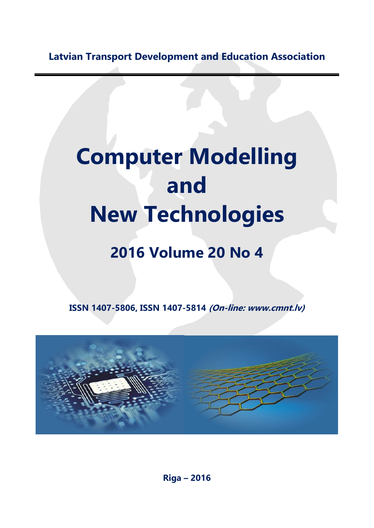**Latvian Transport Development and Education Association**

## **Computer Modelling and New Technologies**

## **2016 Volume 20 No 4**

**ISSN 1407-5806, ISSN 1407-5814 (On-line: www.cmnt.lv)**



**Riga – 2016**